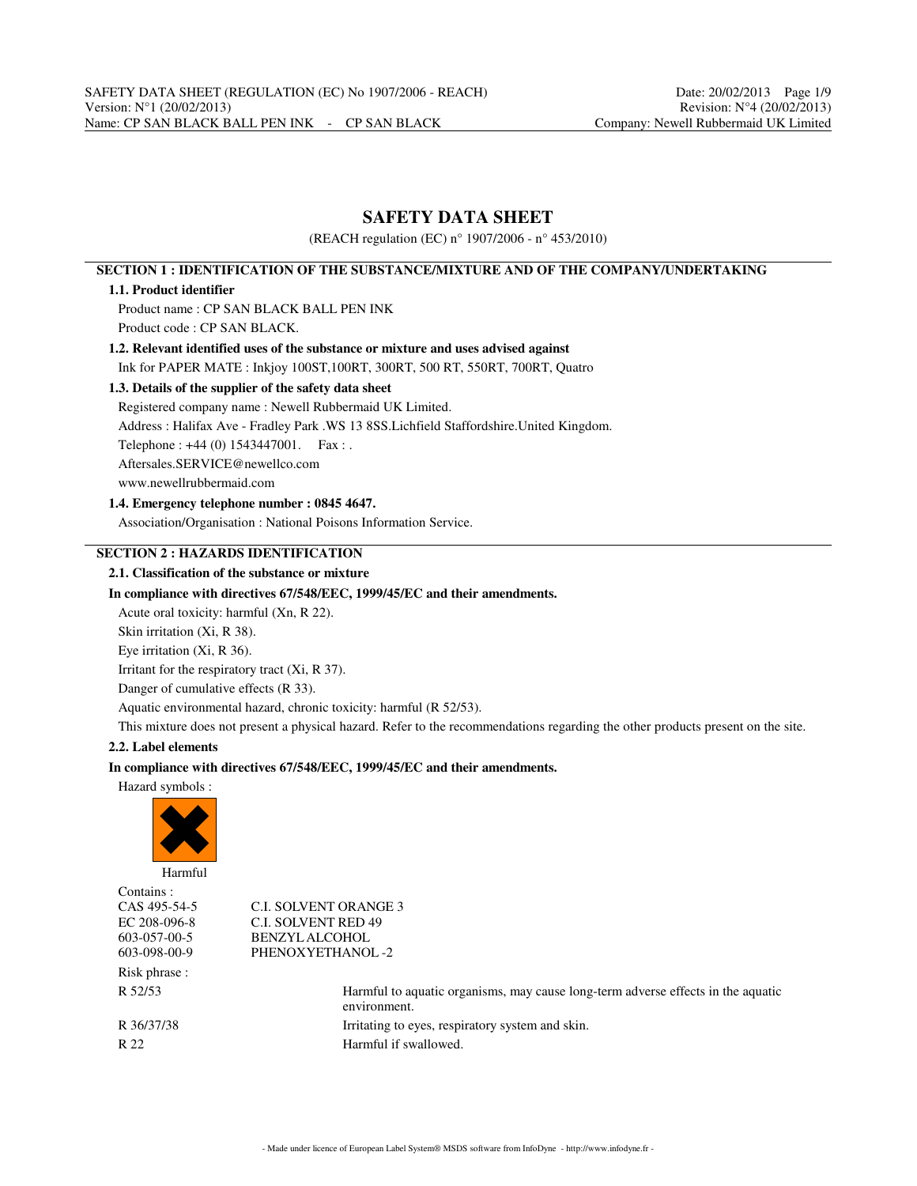# **SAFETY DATA SHEET**

(REACH regulation (EC) n° 1907/2006 - n° 453/2010)

# **SECTION 1 : IDENTIFICATION OF THE SUBSTANCE/MIXTURE AND OF THE COMPANY/UNDERTAKING**

## **1.1. Product identifier**

Product name : CP SAN BLACK BALL PEN INK Product code : CP SAN BLACK.

# **1.2. Relevant identified uses of the substance or mixture and uses advised against**

Ink for PAPER MATE : Inkjoy 100ST,100RT, 300RT, 500 RT, 550RT, 700RT, Quatro

# **1.3. Details of the supplier of the safety data sheet**

Registered company name : Newell Rubbermaid UK Limited.

Address : Halifax Ave - Fradley Park .WS 13 8SS.Lichfield Staffordshire.United Kingdom.

Telephone : +44 (0) 1543447001. Fax : .

Aftersales.SERVICE@newellco.com

www.newellrubbermaid.com

## **1.4. Emergency telephone number : 0845 4647.**

Association/Organisation : National Poisons Information Service.

# **SECTION 2 : HAZARDS IDENTIFICATION**

## **2.1. Classification of the substance or mixture**

#### **In compliance with directives 67/548/EEC, 1999/45/EC and their amendments.**

Acute oral toxicity: harmful (Xn, R 22).

Skin irritation (Xi, R 38).

Eye irritation (Xi, R 36).

Irritant for the respiratory tract (Xi, R 37).

Danger of cumulative effects (R 33).

Aquatic environmental hazard, chronic toxicity: harmful (R 52/53).

This mixture does not present a physical hazard. Refer to the recommendations regarding the other products present on the site.

## **2.2. Label elements**

## **In compliance with directives 67/548/EEC, 1999/45/EC and their amendments.**

Hazard symbols :



| .             |                                                                                                  |
|---------------|--------------------------------------------------------------------------------------------------|
| Contains :    |                                                                                                  |
| CAS 495-54-5  | <b>C.I. SOLVENT ORANGE 3</b>                                                                     |
| EC 208-096-8  | <b>C.I. SOLVENT RED 49</b>                                                                       |
| 603-057-00-5  | <b>BENZYLALCOHOL</b>                                                                             |
| 603-098-00-9  | PHENOXYETHANOL-2                                                                                 |
| Risk phrase : |                                                                                                  |
| R 52/53       | Harmful to aquatic organisms, may cause long-term adverse effects in the aquatic<br>environment. |
| R 36/37/38    | Irritating to eyes, respiratory system and skin.                                                 |
| R 22          | Harmful if swallowed.                                                                            |
|               |                                                                                                  |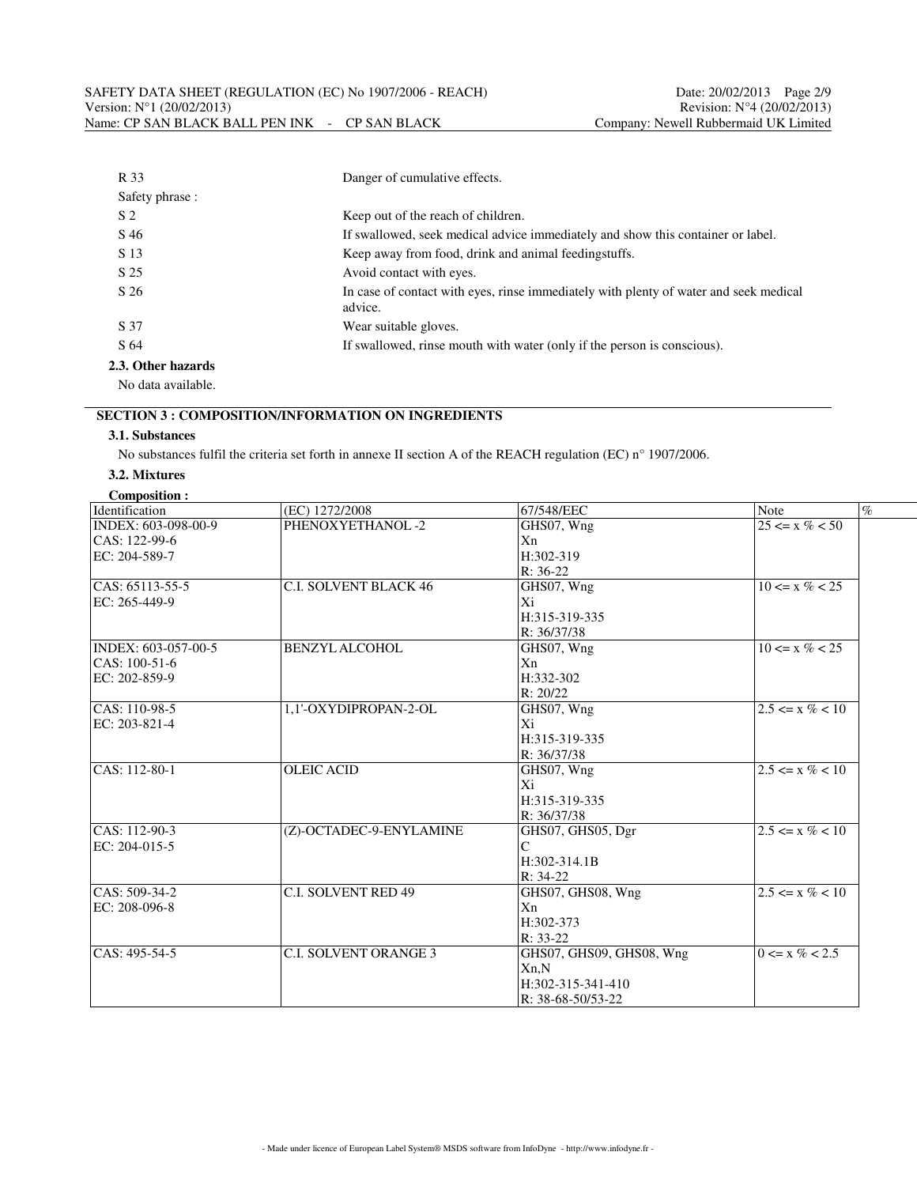| R 33               | Danger of cumulative effects.                                                                    |  |  |
|--------------------|--------------------------------------------------------------------------------------------------|--|--|
| Safety phrase :    |                                                                                                  |  |  |
| S <sub>2</sub>     | Keep out of the reach of children.                                                               |  |  |
| S 46               | If swallowed, seek medical advice immediately and show this container or label.                  |  |  |
| S 13               | Keep away from food, drink and animal feeding stuffs.                                            |  |  |
| S 25               | Avoid contact with eyes.                                                                         |  |  |
| S 26               | In case of contact with eyes, rinse immediately with plenty of water and seek medical<br>advice. |  |  |
| S 37               | Wear suitable gloves.                                                                            |  |  |
| S 64               | If swallowed, rinse mouth with water (only if the person is conscious).                          |  |  |
| 2.3. Other hazards |                                                                                                  |  |  |

No data available.

# **SECTION 3 : COMPOSITION/INFORMATION ON INGREDIENTS**

#### **3.1. Substances**

No substances fulfil the criteria set forth in annexe II section A of the REACH regulation (EC) n° 1907/2006.

#### **3.2. Mixtures**

| Composition: |  |
|--------------|--|
|              |  |
|              |  |

| Identification             | (EC) 1272/2008               | 67/548/EEC               | <b>Note</b>         | $\%$ |
|----------------------------|------------------------------|--------------------------|---------------------|------|
| INDEX: 603-098-00-9        | PHENOXYETHANOL-2             | GHS07, Wng               | $25 \le x \% < 50$  |      |
| CAS: 122-99-6              |                              | Xn                       |                     |      |
| EC: 204-589-7              |                              | H:302-319                |                     |      |
|                            |                              | $R: 36-22$               |                     |      |
| $ CAS: 65113-55-5$         | <b>C.I. SOLVENT BLACK 46</b> | GHS07, Wng               | $10 \le x \% < 25$  |      |
|                            |                              |                          |                     |      |
| EC: 265-449-9              |                              | Xi                       |                     |      |
|                            |                              | H:315-319-335            |                     |      |
|                            |                              | R: 36/37/38              |                     |      |
| INDEX: 603-057-00-5        | <b>BENZYL ALCOHOL</b>        | GHS07, Wng               | $10 \le x \% < 25$  |      |
| $ CAS: 100-51-6$           |                              | Xn                       |                     |      |
| EC: 202-859-9              |                              | H:332-302                |                     |      |
|                            |                              | R: 20/22                 |                     |      |
| $\overline{CAS: 110-98-5}$ | 1,1'-OXYDIPROPAN-2-OL        | GHS07, Wng               | $2.5 \le x \% < 10$ |      |
| EC: 203-821-4              |                              | Xi                       |                     |      |
|                            |                              | H:315-319-335            |                     |      |
|                            |                              | R: 36/37/38              |                     |      |
| $CRS: 112-80-1$            | <b>OLEIC ACID</b>            | GHS07, Wng               | $2.5 \le x \% < 10$ |      |
|                            |                              | Xi                       |                     |      |
|                            |                              | H:315-319-335            |                     |      |
|                            |                              | R: 36/37/38              |                     |      |
| $\overline{CAS: 112-90-3}$ | (Z)-OCTADEC-9-ENYLAMINE      | GHS07, GHS05, Dgr        | $2.5 \le x \% < 10$ |      |
| EC: 204-015-5              |                              | C                        |                     |      |
|                            |                              | H:302-314.1B             |                     |      |
|                            |                              | $R: 34-22$               |                     |      |
| $\overline{CAS: 509-34-2}$ | <b>C.I. SOLVENT RED 49</b>   | GHS07, GHS08, Wng        | $2.5 \le x \% < 10$ |      |
| EC: 208-096-8              |                              | Xn                       |                     |      |
|                            |                              | $H:302-373$              |                     |      |
|                            |                              | $R: 33-22$               |                     |      |
| $ CAS: 495-54-5$           | <b>C.I. SOLVENT ORANGE 3</b> | GHS07, GHS09, GHS08, Wng | $0 \le x \% < 2.5$  |      |
|                            |                              | Xn,N                     |                     |      |
|                            |                              | H:302-315-341-410        |                     |      |
|                            |                              | R: 38-68-50/53-22        |                     |      |
|                            |                              |                          |                     |      |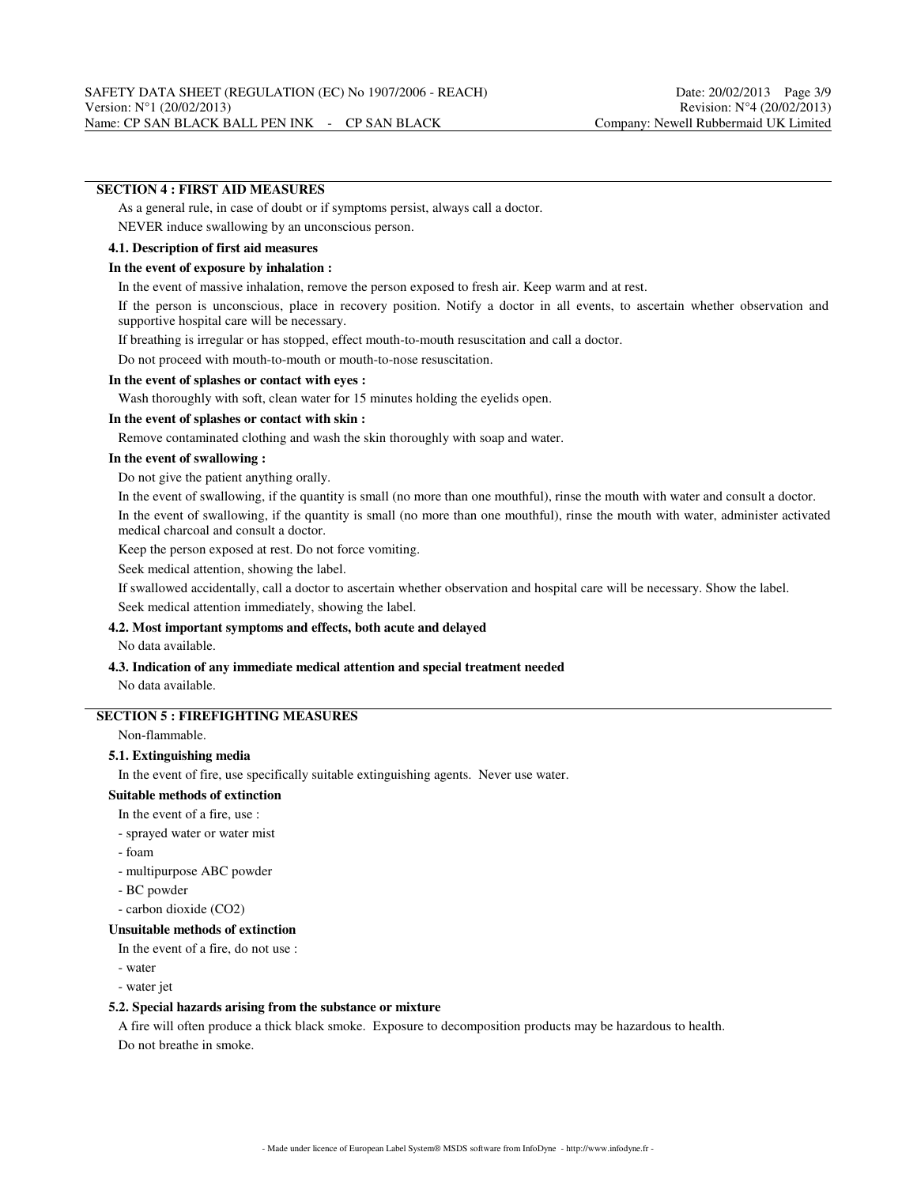## **SECTION 4 : FIRST AID MEASURES**

As a general rule, in case of doubt or if symptoms persist, always call a doctor.

NEVER induce swallowing by an unconscious person.

#### **4.1. Description of first aid measures**

#### **In the event of exposure by inhalation :**

In the event of massive inhalation, remove the person exposed to fresh air. Keep warm and at rest.

If the person is unconscious, place in recovery position. Notify a doctor in all events, to ascertain whether observation and supportive hospital care will be necessary.

If breathing is irregular or has stopped, effect mouth-to-mouth resuscitation and call a doctor.

Do not proceed with mouth-to-mouth or mouth-to-nose resuscitation.

#### **In the event of splashes or contact with eyes :**

Wash thoroughly with soft, clean water for 15 minutes holding the eyelids open.

#### **In the event of splashes or contact with skin :**

Remove contaminated clothing and wash the skin thoroughly with soap and water.

#### **In the event of swallowing :**

Do not give the patient anything orally.

In the event of swallowing, if the quantity is small (no more than one mouthful), rinse the mouth with water and consult a doctor.

In the event of swallowing, if the quantity is small (no more than one mouthful), rinse the mouth with water, administer activated medical charcoal and consult a doctor.

Keep the person exposed at rest. Do not force vomiting.

Seek medical attention, showing the label.

If swallowed accidentally, call a doctor to ascertain whether observation and hospital care will be necessary. Show the label. Seek medical attention immediately, showing the label.

#### **4.2. Most important symptoms and effects, both acute and delayed**

No data available.

#### **4.3. Indication of any immediate medical attention and special treatment needed** No data available.

#### **SECTION 5 : FIREFIGHTING MEASURES**

Non-flammable.

#### **5.1. Extinguishing media**

In the event of fire, use specifically suitable extinguishing agents. Never use water.

## **Suitable methods of extinction**

In the event of a fire, use :

- sprayed water or water mist
- foam

- multipurpose ABC powder

- BC powder

- carbon dioxide (CO2)

#### **Unsuitable methods of extinction**

In the event of a fire, do not use :

- water

- water jet

#### **5.2. Special hazards arising from the substance or mixture**

A fire will often produce a thick black smoke. Exposure to decomposition products may be hazardous to health. Do not breathe in smoke.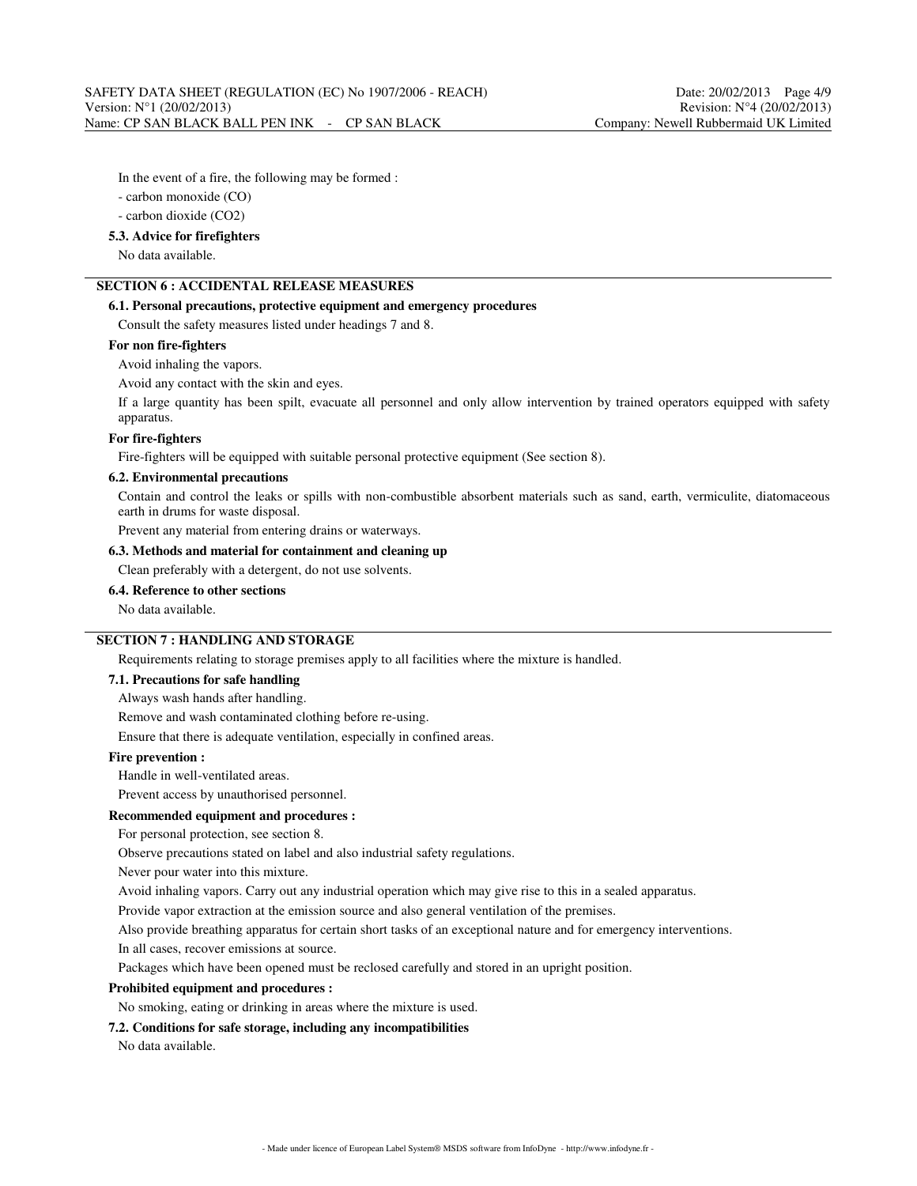In the event of a fire, the following may be formed :

- carbon monoxide (CO)

- carbon dioxide (CO2)

#### **5.3. Advice for firefighters**

No data available.

# **SECTION 6 : ACCIDENTAL RELEASE MEASURES**

## **6.1. Personal precautions, protective equipment and emergency procedures**

Consult the safety measures listed under headings 7 and 8.

## **For non fire-fighters**

Avoid inhaling the vapors.

Avoid any contact with the skin and eyes.

If a large quantity has been spilt, evacuate all personnel and only allow intervention by trained operators equipped with safety apparatus.

## **For fire-fighters**

Fire-fighters will be equipped with suitable personal protective equipment (See section 8).

#### **6.2. Environmental precautions**

Contain and control the leaks or spills with non-combustible absorbent materials such as sand, earth, vermiculite, diatomaceous earth in drums for waste disposal.

Prevent any material from entering drains or waterways.

## **6.3. Methods and material for containment and cleaning up**

Clean preferably with a detergent, do not use solvents.

## **6.4. Reference to other sections**

No data available.

# **SECTION 7 : HANDLING AND STORAGE**

Requirements relating to storage premises apply to all facilities where the mixture is handled.

#### **7.1. Precautions for safe handling**

Always wash hands after handling.

Remove and wash contaminated clothing before re-using.

Ensure that there is adequate ventilation, especially in confined areas.

## **Fire prevention :**

Handle in well-ventilated areas.

Prevent access by unauthorised personnel.

#### **Recommended equipment and procedures :**

For personal protection, see section 8.

Observe precautions stated on label and also industrial safety regulations.

Never pour water into this mixture.

Avoid inhaling vapors. Carry out any industrial operation which may give rise to this in a sealed apparatus.

Provide vapor extraction at the emission source and also general ventilation of the premises.

Also provide breathing apparatus for certain short tasks of an exceptional nature and for emergency interventions.

In all cases, recover emissions at source.

Packages which have been opened must be reclosed carefully and stored in an upright position.

#### **Prohibited equipment and procedures :**

No smoking, eating or drinking in areas where the mixture is used.

#### **7.2. Conditions for safe storage, including any incompatibilities**

No data available.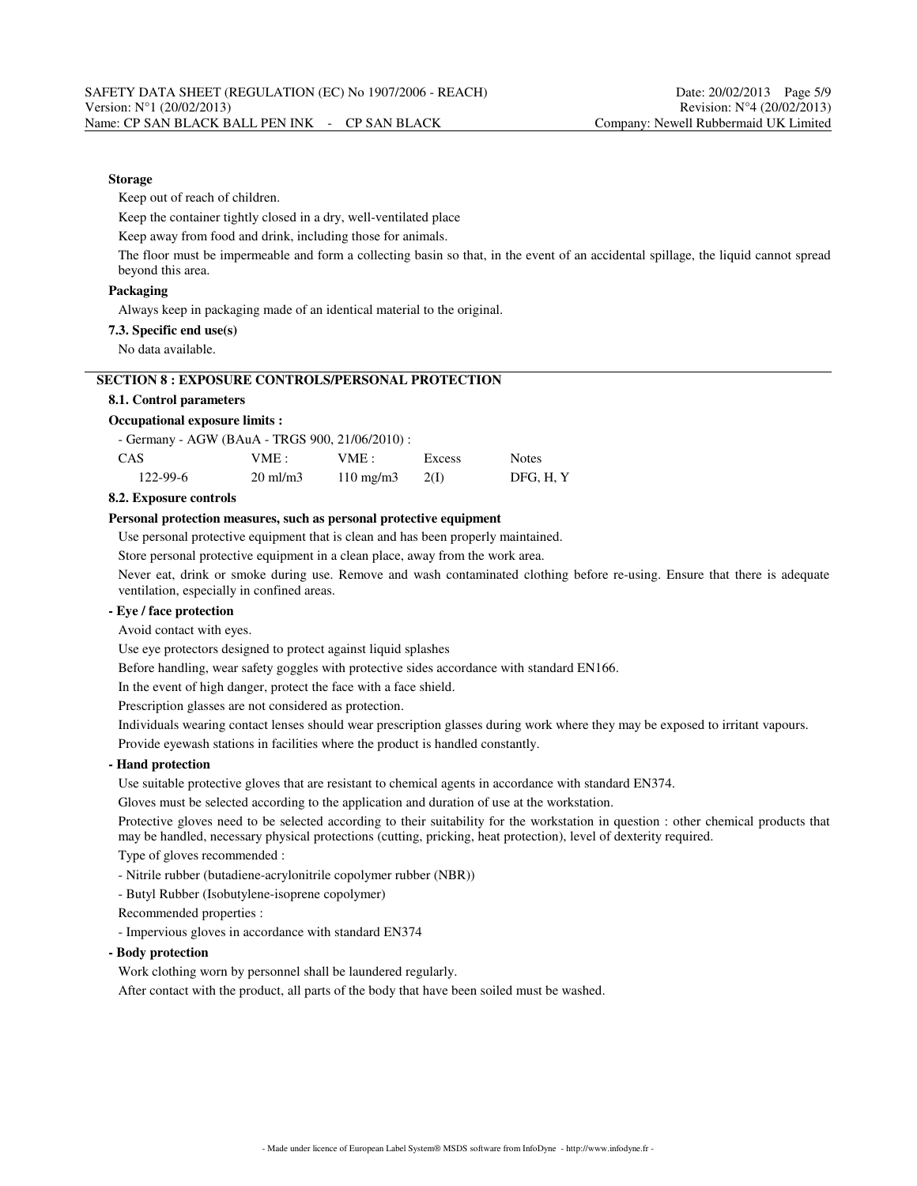## **Storage**

Keep out of reach of children.

Keep the container tightly closed in a dry, well-ventilated place

Keep away from food and drink, including those for animals.

The floor must be impermeable and form a collecting basin so that, in the event of an accidental spillage, the liquid cannot spread beyond this area.

#### **Packaging**

Always keep in packaging made of an identical material to the original.

#### **7.3. Specific end use(s)**

No data available.

## **SECTION 8 : EXPOSURE CONTROLS/PERSONAL PROTECTION**

## **8.1. Control parameters**

#### **Occupational exposure limits :**

- Germany - AGW (BAuA - TRGS 900, 21/06/2010) :

|                |                     | .                  |        |              |
|----------------|---------------------|--------------------|--------|--------------|
| CAS            | VME :               | VME:               | Excess | <b>Notes</b> |
| $122 - 99 - 6$ | $20 \text{ ml/m}$ 3 | $110 \text{ mg/m}$ | 2(1)   | DFG. H. Y    |

#### **8.2. Exposure controls**

## **Personal protection measures, such as personal protective equipment**

Use personal protective equipment that is clean and has been properly maintained.

Store personal protective equipment in a clean place, away from the work area.

Never eat, drink or smoke during use. Remove and wash contaminated clothing before re-using. Ensure that there is adequate ventilation, especially in confined areas.

#### **- Eye / face protection**

Avoid contact with eyes.

Use eye protectors designed to protect against liquid splashes

Before handling, wear safety goggles with protective sides accordance with standard EN166.

In the event of high danger, protect the face with a face shield.

Prescription glasses are not considered as protection.

Individuals wearing contact lenses should wear prescription glasses during work where they may be exposed to irritant vapours.

Provide eyewash stations in facilities where the product is handled constantly.

## **- Hand protection**

Use suitable protective gloves that are resistant to chemical agents in accordance with standard EN374.

Gloves must be selected according to the application and duration of use at the workstation.

Protective gloves need to be selected according to their suitability for the workstation in question : other chemical products that may be handled, necessary physical protections (cutting, pricking, heat protection), level of dexterity required.

Type of gloves recommended :

- Nitrile rubber (butadiene-acrylonitrile copolymer rubber (NBR))

- Butyl Rubber (Isobutylene-isoprene copolymer)

Recommended properties :

- Impervious gloves in accordance with standard EN374

**- Body protection**

Work clothing worn by personnel shall be laundered regularly.

After contact with the product, all parts of the body that have been soiled must be washed.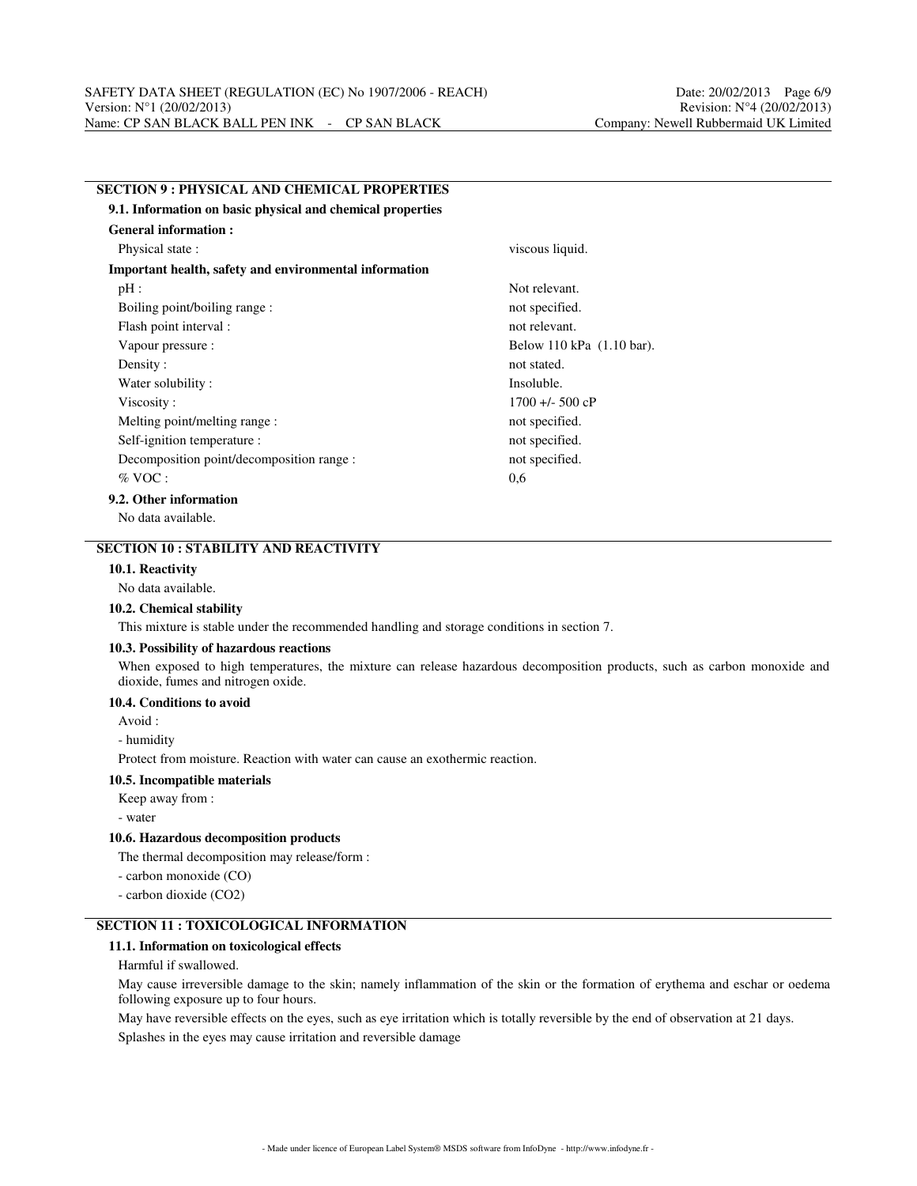**SECTION 9 : PHYSICAL AND CHEMICAL PROPERTIES**

| 9.1. Information on basic physical and chemical properties |                           |
|------------------------------------------------------------|---------------------------|
| <b>General information:</b>                                |                           |
| Physical state:                                            | viscous liquid.           |
| Important health, safety and environmental information     |                           |
| pH:                                                        | Not relevant.             |
| Boiling point/boiling range:                               | not specified.            |
| Flash point interval :                                     | not relevant.             |
| Vapour pressure :                                          | Below 110 kPa (1.10 bar). |
| Density:                                                   | not stated.               |
| Water solubility:                                          | Insoluble.                |
| Viscosity:                                                 | $1700 + 500$ cP           |
| Melting point/melting range:                               | not specified.            |
| Self-ignition temperature :                                | not specified.            |
| Decomposition point/decomposition range :                  | not specified.            |
| $%$ VOC :                                                  | 0,6                       |
| 9.2. Other information                                     |                           |
| $\mathbf{M} = \mathbf{1}$ , $\mathbf{M} = \mathbf{1}$      |                           |

No data available.

# **SECTION 10 : STABILITY AND REACTIVITY**

## **10.1. Reactivity**

#### No data available.

#### **10.2. Chemical stability**

This mixture is stable under the recommended handling and storage conditions in section 7.

#### **10.3. Possibility of hazardous reactions**

When exposed to high temperatures, the mixture can release hazardous decomposition products, such as carbon monoxide and dioxide, fumes and nitrogen oxide.

## **10.4. Conditions to avoid**

Avoid :

- humidity

Protect from moisture. Reaction with water can cause an exothermic reaction.

#### **10.5. Incompatible materials**

Keep away from :

- water

#### **10.6. Hazardous decomposition products**

The thermal decomposition may release/form :

- carbon monoxide (CO)

- carbon dioxide (CO2)

## **SECTION 11 : TOXICOLOGICAL INFORMATION**

## **11.1. Information on toxicological effects**

Harmful if swallowed.

May cause irreversible damage to the skin; namely inflammation of the skin or the formation of erythema and eschar or oedema following exposure up to four hours.

May have reversible effects on the eyes, such as eye irritation which is totally reversible by the end of observation at 21 days. Splashes in the eyes may cause irritation and reversible damage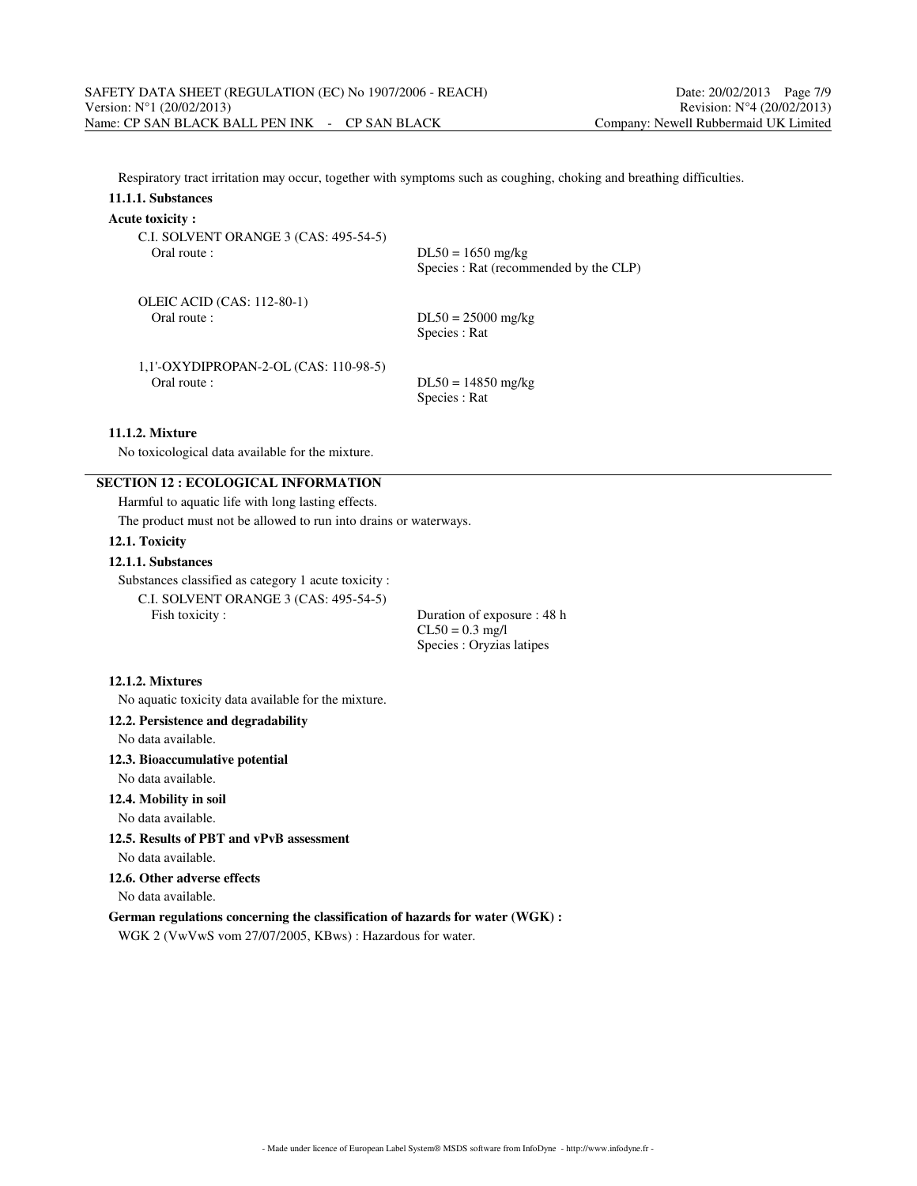Respiratory tract irritation may occur, together with symptoms such as coughing, choking and breathing difficulties.

## **11.1.1. Substances**

#### **Acute toxicity :**

| C.I. SOLVENT ORANGE 3 (CAS: 495-54-5)  | $DL50 = 1650$ mg/kg                    |
|----------------------------------------|----------------------------------------|
| Oral route:                            | Species : Rat (recommended by the CLP) |
| OLEIC ACID (CAS: 112-80-1)             | $DL50 = 25000$ mg/kg                   |
| Oral route:                            | Species : Rat                          |
| $1,1'-OXYDIPROPAN-2-OL(CAS: 110-98-5)$ | $DL50 = 14850$ mg/kg                   |
| Oral route :                           | Species : Rat                          |

## **11.1.2. Mixture**

No toxicological data available for the mixture.

# **SECTION 12 : ECOLOGICAL INFORMATION**

Harmful to aquatic life with long lasting effects.

The product must not be allowed to run into drains or waterways.

## **12.1. Toxicity**

## **12.1.1. Substances**

Substances classified as category 1 acute toxicity :

C.I. SOLVENT ORANGE 3 (CAS: 495-54-5) Fish toxicity : Duration of exposure : 48 h

 $CL50 = 0.3$  mg/l Species : Oryzias latipes

#### **12.1.2. Mixtures**

No aquatic toxicity data available for the mixture.

## **12.2. Persistence and degradability**

No data available.

## **12.3. Bioaccumulative potential**

No data available.

## **12.4. Mobility in soil**

No data available.

# **12.5. Results of PBT and vPvB assessment**

No data available.

## **12.6. Other adverse effects**

No data available.

## **German regulations concerning the classification of hazards for water (WGK) :**

WGK 2 (VwVwS vom 27/07/2005, KBws) : Hazardous for water.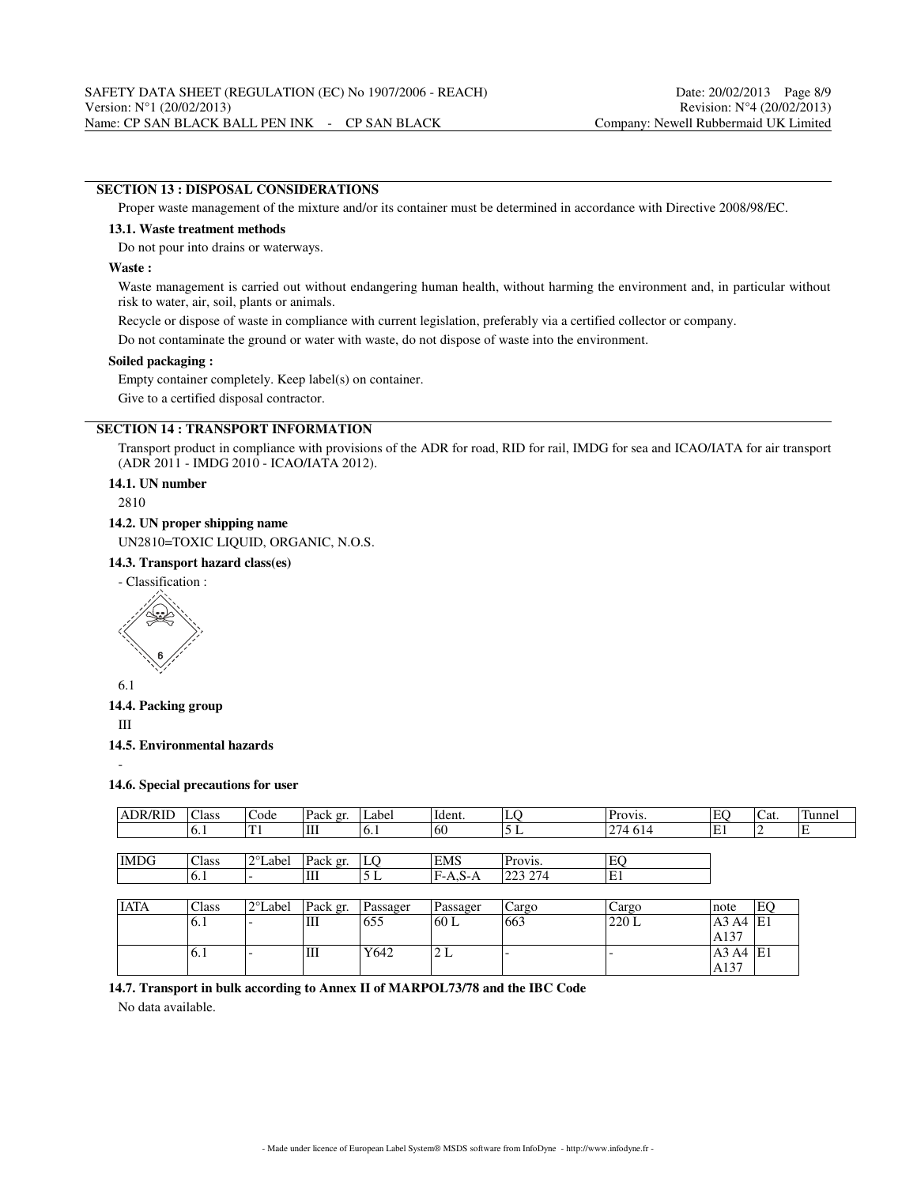## **SECTION 13 : DISPOSAL CONSIDERATIONS**

Proper waste management of the mixture and/or its container must be determined in accordance with Directive 2008/98/EC.

#### **13.1. Waste treatment methods**

Do not pour into drains or waterways.

#### **Waste :**

Waste management is carried out without endangering human health, without harming the environment and, in particular without risk to water, air, soil, plants or animals.

Recycle or dispose of waste in compliance with current legislation, preferably via a certified collector or company.

Do not contaminate the ground or water with waste, do not dispose of waste into the environment.

## **Soiled packaging :**

Empty container completely. Keep label(s) on container.

Give to a certified disposal contractor.

# **SECTION 14 : TRANSPORT INFORMATION**

Transport product in compliance with provisions of the ADR for road, RID for rail, IMDG for sea and ICAO/IATA for air transport (ADR 2011 - IMDG 2010 - ICAO/IATA 2012).

## **14.1. UN number**

2810

## **14.2. UN proper shipping name**

UN2810=TOXIC LIQUID, ORGANIC, N.O.S.

**14.3. Transport hazard class(es)**

- Classification :



6.1

#### **14.4. Packing group**

III

-

**14.5. Environmental hazards**

#### **14.6. Special precautions for user**

| <b>ADR/RID</b> | Class | Code              | Pack gr. | Label    | Ident.     | LQ      | Provis. | EO   | Cat. | Tunnel |
|----------------|-------|-------------------|----------|----------|------------|---------|---------|------|------|--------|
|                | 6.1   | T1                | Ш        | 6.1      | 60         | 5L      | 274 614 | E1   | ∠    | ΙE     |
|                |       |                   |          |          |            |         |         |      |      |        |
| <b>IMDG</b>    | Class | 2°Label           | Pack gr. | LO       | <b>EMS</b> | Provis. | EO      |      |      |        |
|                | 6.1   |                   | Ш        | 5 L      | $F-A.S-A$  | 223 274 | E1      |      |      |        |
|                |       |                   |          |          |            |         |         |      |      |        |
| <b>IATA</b>    | Class | $2^{\circ}$ Label | Pack gr. | Passager | Passager   | Cargo   | Cargo   | note | EQ   |        |
|                | 6.1   |                   | Ш        | 655      | 60 L       | 663     | 220 L   | A3A4 | lE1  |        |
|                |       |                   |          |          |            |         |         | A137 |      |        |
|                | 6.1   |                   | III      | Y642     | 2 L        |         |         | A3A4 | E1   |        |
|                |       |                   |          |          |            |         |         | A137 |      |        |

## **14.7. Transport in bulk according to Annex II of MARPOL73/78 and the IBC Code**

No data available.